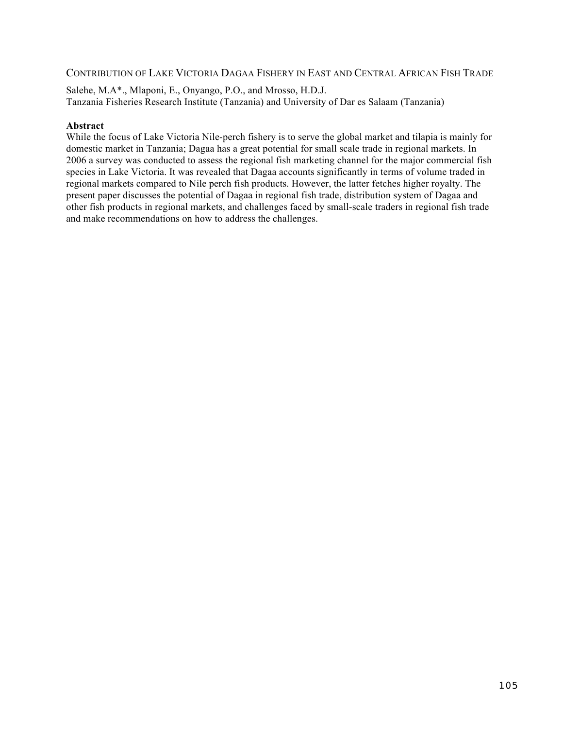CONTRIBUTION OF LAKE VICTORIA DAGAA FISHERY IN EAST AND CENTRAL AFRICAN FISH TRADE

Salehe, M.A\*., Mlaponi, E., Onyango, P.O., and Mrosso, H.D.J. Tanzania Fisheries Research Institute (Tanzania) and University of Dar es Salaam (Tanzania)

## **Abstract**

While the focus of Lake Victoria Nile-perch fishery is to serve the global market and tilapia is mainly for domestic market in Tanzania; Dagaa has a great potential for small scale trade in regional markets. In 2006 a survey was conducted to assess the regional fish marketing channel for the major commercial fish species in Lake Victoria. It was revealed that Dagaa accounts significantly in terms of volume traded in regional markets compared to Nile perch fish products. However, the latter fetches higher royalty. The present paper discusses the potential of Dagaa in regional fish trade, distribution system of Dagaa and other fish products in regional markets, and challenges faced by small-scale traders in regional fish trade and make recommendations on how to address the challenges.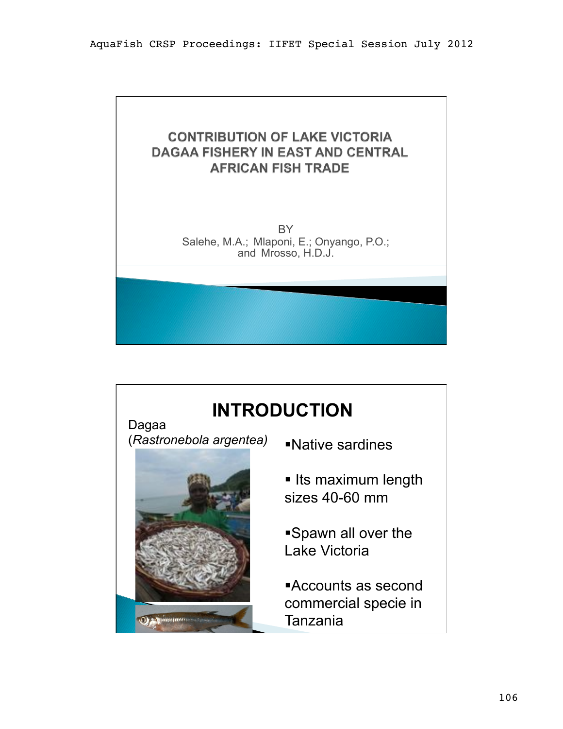

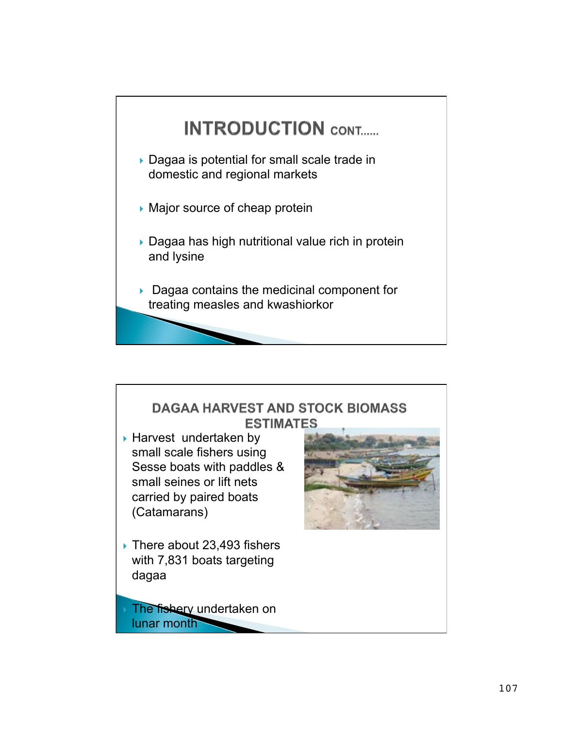

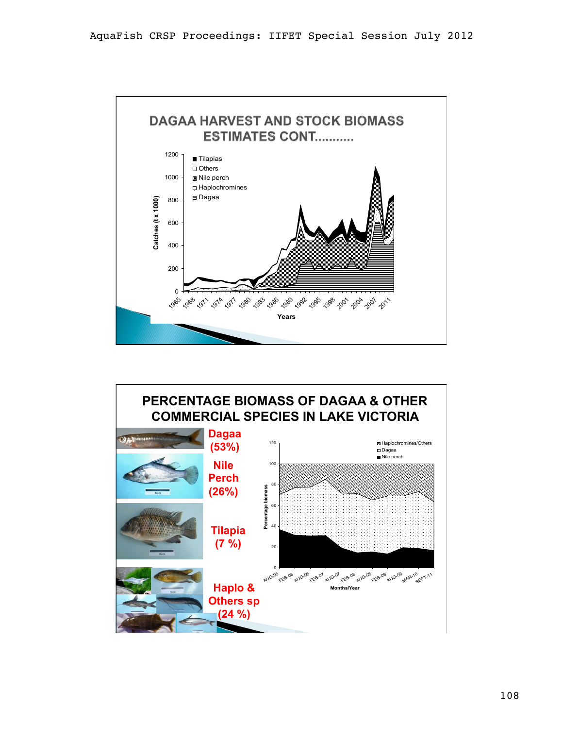

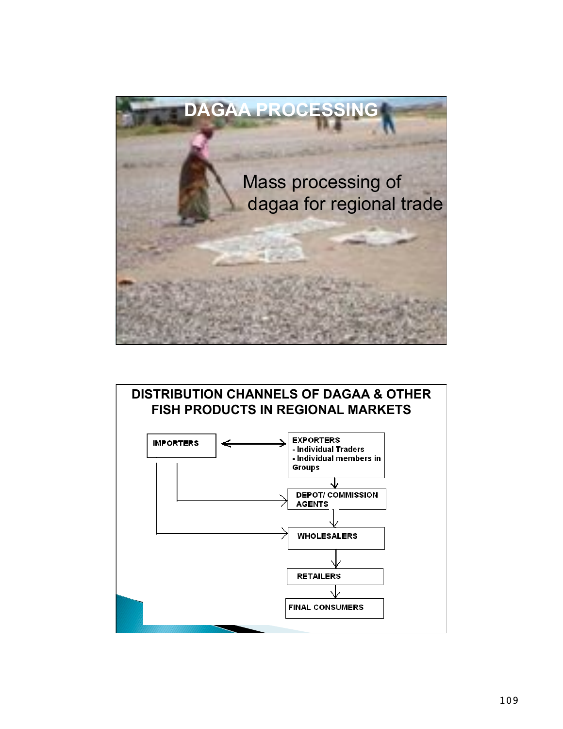

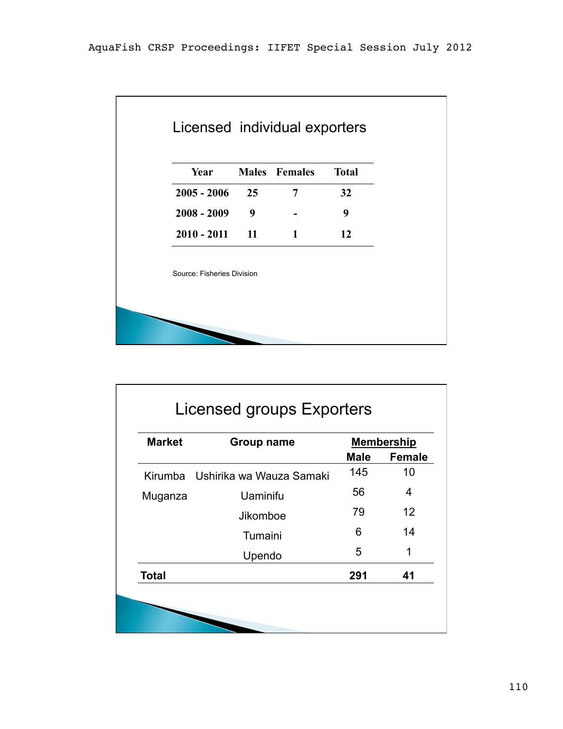|               | Licensed individual exporters    |                   |                          |                    |                     |
|---------------|----------------------------------|-------------------|--------------------------|--------------------|---------------------|
|               | Year                             |                   | <b>Males</b> Females     | <b>Total</b>       |                     |
|               | $2005 - 2006$                    | 25                | 7                        | 32                 |                     |
|               | $2008 - 2009$                    | 9                 |                          | 9                  |                     |
|               | $2010 - 2011$                    | 11                | $\mathbf{1}$             | 12                 |                     |
|               | Source: Fisheries Division       |                   |                          |                    |                     |
|               |                                  |                   |                          |                    |                     |
|               | <b>Licensed groups Exporters</b> |                   |                          |                    |                     |
| <b>Market</b> |                                  | <b>Group name</b> |                          |                    | <b>Membership</b>   |
|               |                                  |                   | Ushirika wa Wauza Samaki | <b>Male</b><br>145 | <b>Female</b><br>10 |
| Kirumba       |                                  | Uaminifu          |                          | 56                 | 4                   |
| Muganza       |                                  | Jikomboe          |                          | 79                 | 12                  |
|               |                                  | Tumaini           |                          | 6                  | 14                  |
|               |                                  | Upendo            |                          | 5                  | 1                   |
| <b>Total</b>  |                                  |                   |                          | 291                | 41                  |

| <b>Market</b> | Group name                       | <b>Membership</b> |               |
|---------------|----------------------------------|-------------------|---------------|
|               |                                  | <b>Male</b>       | <b>Female</b> |
|               | Kirumba Ushirika wa Wauza Samaki | 145               | 10            |
| Muganza       | Uaminifu                         | 56                | 4             |
|               | <b>Jikomboe</b>                  | 79                | 12            |
|               | Tumaini                          | 6                 | 14            |
|               | Upendo                           | 5                 | 1             |
| <b>Total</b>  |                                  | 291               | 41            |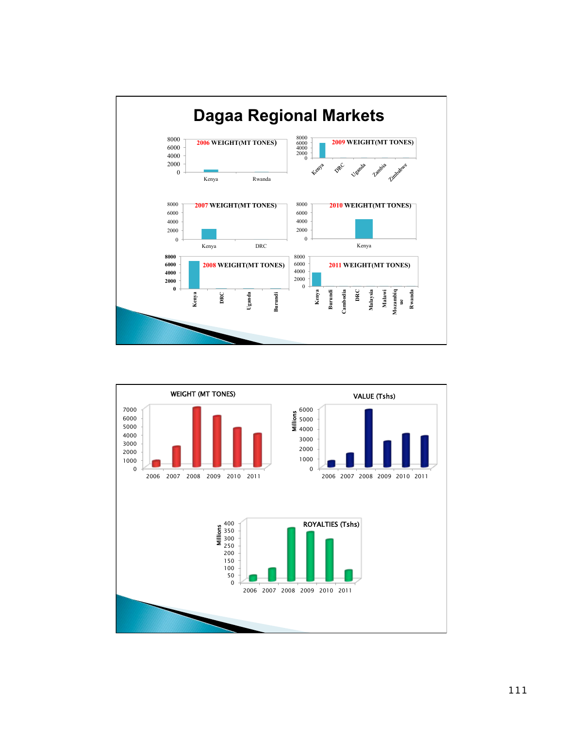

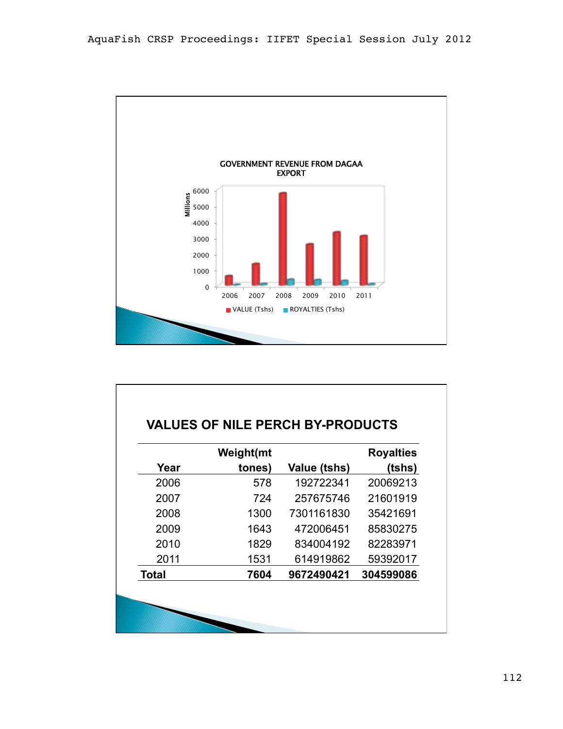

|       | Weight(mt |              | <b>Royalties</b> |  |
|-------|-----------|--------------|------------------|--|
| Year  | tones)    | Value (tshs) | (tshs)           |  |
| 2006  | 578       | 192722341    | 20069213         |  |
| 2007  | 724       | 257675746    | 21601919         |  |
| 2008  | 1300      | 7301161830   | 35421691         |  |
| 2009  | 1643      | 472006451    | 85830275         |  |
| 2010  | 1829      | 834004192    | 82283971         |  |
| 2011  | 1531      | 614919862    | 59392017         |  |
| Total | 7604      | 9672490421   | 304599086        |  |